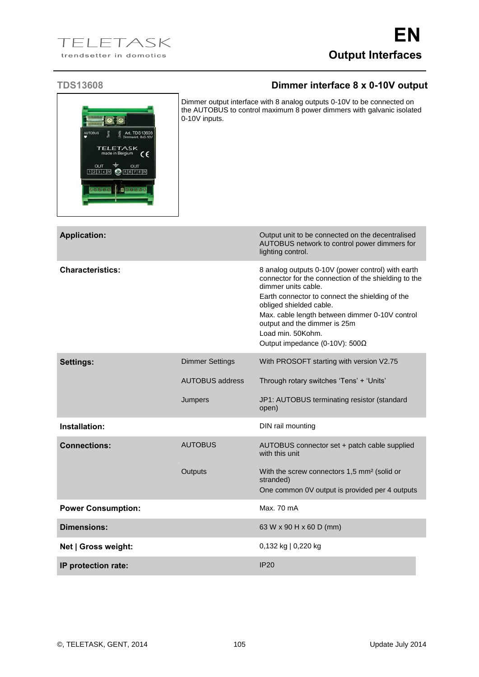## **TDS13608 Dimmer interface 8 x 0-10V output**

| <b>AUTOBUS</b>              | Tens<br>Units                      | Art. TDS13608      |    |
|-----------------------------|------------------------------------|--------------------|----|
|                             |                                    | Dimmerint. 8x0-10V |    |
|                             | <b>TELETASK</b><br>made in Belgium |                    |    |
|                             |                                    |                    | c٤ |
| OUT                         |                                    | OUT                |    |
| $1 2 3 4 00$ $9 5 6 7 8 00$ |                                    |                    |    |
|                             |                                    |                    |    |

Dimmer output interface with 8 analog outputs 0-10V to be connected on the AUTOBUS to control maximum 8 power dimmers with galvanic isolated 0-10V inputs.

| <b>Application:</b>       |                        | Output unit to be connected on the decentralised<br>AUTOBUS network to control power dimmers for<br>lighting control.                                                                                                                                                                                                                                          |
|---------------------------|------------------------|----------------------------------------------------------------------------------------------------------------------------------------------------------------------------------------------------------------------------------------------------------------------------------------------------------------------------------------------------------------|
| <b>Characteristics:</b>   |                        | 8 analog outputs 0-10V (power control) with earth<br>connector for the connection of the shielding to the<br>dimmer units cable.<br>Earth connector to connect the shielding of the<br>obliged shielded cable.<br>Max. cable length between dimmer 0-10V control<br>output and the dimmer is 25m<br>Load min. 50Kohm.<br>Output impedance (0-10V): $500\Omega$ |
| <b>Settings:</b>          | <b>Dimmer Settings</b> | With PROSOFT starting with version V2.75                                                                                                                                                                                                                                                                                                                       |
|                           | <b>AUTOBUS address</b> | Through rotary switches 'Tens' + 'Units'                                                                                                                                                                                                                                                                                                                       |
|                           | Jumpers                | JP1: AUTOBUS terminating resistor (standard<br>open)                                                                                                                                                                                                                                                                                                           |
| Installation:             |                        | DIN rail mounting                                                                                                                                                                                                                                                                                                                                              |
| <b>Connections:</b>       | <b>AUTOBUS</b>         | AUTOBUS connector set + patch cable supplied<br>with this unit                                                                                                                                                                                                                                                                                                 |
|                           | Outputs                | With the screw connectors 1,5 mm <sup>2</sup> (solid or<br>stranded)<br>One common 0V output is provided per 4 outputs                                                                                                                                                                                                                                         |
|                           |                        |                                                                                                                                                                                                                                                                                                                                                                |
| <b>Power Consumption:</b> |                        | Max. 70 mA                                                                                                                                                                                                                                                                                                                                                     |
| Dimensions:               |                        | 63 W x 90 H x 60 D (mm)                                                                                                                                                                                                                                                                                                                                        |
| Net   Gross weight:       |                        | 0,132 kg   0,220 kg                                                                                                                                                                                                                                                                                                                                            |
| IP protection rate:       |                        | IP20                                                                                                                                                                                                                                                                                                                                                           |